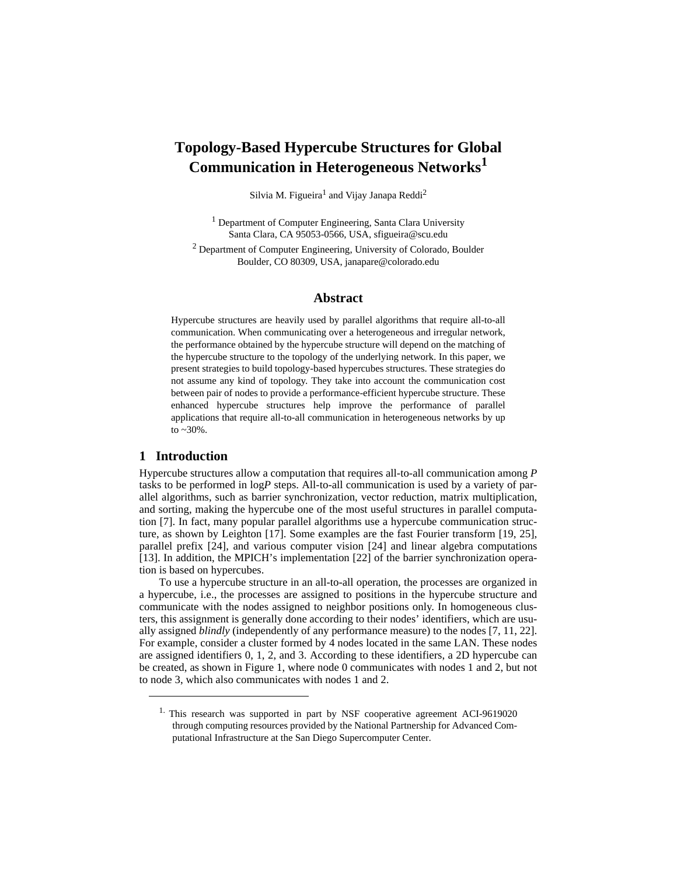# **Topology-Based Hypercube Structures for Global Communication in Heterogeneous Networks<sup>1</sup>**

Silvia M. Figueira $^1$  and Vijay Janapa Reddi<sup>2</sup>

<sup>1</sup> Department of Computer Engineering, Santa Clara University Santa Clara, CA 95053-0566, USA, sfigueira@scu.edu

 $2$  Department of Computer Engineering, University of Colorado, Boulder Boulder, CO 80309, USA, janapare@colorado.edu

#### **Abstract**

Hypercube structures are heavily used by parallel algorithms that require all-to-all communication. When communicating over a heterogeneous and irregular network, the performance obtained by the hypercube structure will depend on the matching of the hypercube structure to the topology of the underlying network. In this paper, we present strategies to build topology-based hypercubes structures. These strategies do not assume any kind of topology. They take into account the communication cost between pair of nodes to provide a performance-efficient hypercube structure. These enhanced hypercube structures help improve the performance of parallel applications that require all-to-all communication in heterogeneous networks by up to  $~20\%$ .

## **1 Introduction**

Hypercube structures allow a computation that requires all-to-all communication among *P* tasks to be performed in log*P* steps. All-to-all communication is used by a variety of parallel algorithms, such as barrier synchronization, vector reduction, matrix multiplication, and sorting, making the hypercube one of the most useful structures in parallel computation [7]. In fact, many popular parallel algorithms use a hypercube communication structure, as shown by Leighton [17]. Some examples are the fast Fourier transform [19, 25], parallel prefix [24], and various computer vision [24] and linear algebra computations [13]. In addition, the MPICH's implementation [22] of the barrier synchronization operation is based on hypercubes.

To use a hypercube structure in an all-to-all operation, the processes are organized in a hypercube, i.e., the processes are assigned to positions in the hypercube structure and communicate with the nodes assigned to neighbor positions only. In homogeneous clusters, this assignment is generally done according to their nodes' identifiers, which are usually assigned *blindly* (independently of any performance measure) to the nodes [7, 11, 22]. For example, consider a cluster formed by 4 nodes located in the same LAN. These nodes are assigned identifiers 0, 1, 2, and 3. According to these identifiers, a 2D hypercube can be created, as shown in Figure 1, where node 0 communicates with nodes 1 and 2, but not to node 3, which also communicates with nodes 1 and 2.

<sup>&</sup>lt;sup>1.</sup> This research was supported in part by NSF cooperative agreement ACI-9619020 through computing resources provided by the National Partnership for Advanced Computational Infrastructure at the San Diego Supercomputer Center.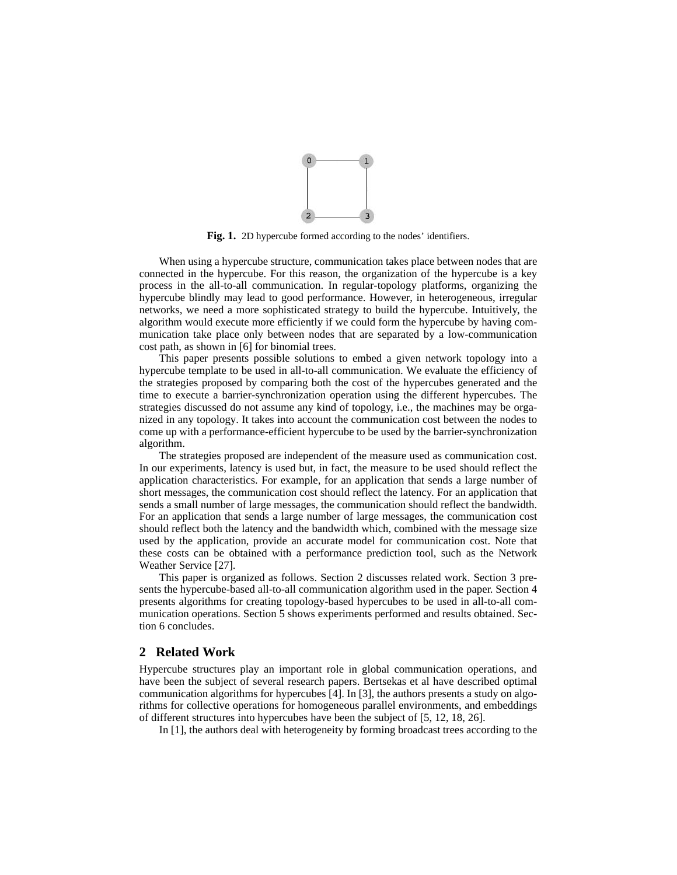

**Fig. 1.** 2D hypercube formed according to the nodes' identifiers.

When using a hypercube structure, communication takes place between nodes that are connected in the hypercube. For this reason, the organization of the hypercube is a key process in the all-to-all communication. In regular-topology platforms, organizing the hypercube blindly may lead to good performance. However, in heterogeneous, irregular networks, we need a more sophisticated strategy to build the hypercube. Intuitively, the algorithm would execute more efficiently if we could form the hypercube by having communication take place only between nodes that are separated by a low-communication cost path, as shown in [6] for binomial trees.

This paper presents possible solutions to embed a given network topology into a hypercube template to be used in all-to-all communication. We evaluate the efficiency of the strategies proposed by comparing both the cost of the hypercubes generated and the time to execute a barrier-synchronization operation using the different hypercubes. The strategies discussed do not assume any kind of topology, i.e., the machines may be organized in any topology. It takes into account the communication cost between the nodes to come up with a performance-efficient hypercube to be used by the barrier-synchronization algorithm.

The strategies proposed are independent of the measure used as communication cost. In our experiments, latency is used but, in fact, the measure to be used should reflect the application characteristics. For example, for an application that sends a large number of short messages, the communication cost should reflect the latency. For an application that sends a small number of large messages, the communication should reflect the bandwidth. For an application that sends a large number of large messages, the communication cost should reflect both the latency and the bandwidth which, combined with the message size used by the application, provide an accurate model for communication cost. Note that these costs can be obtained with a performance prediction tool, such as the Network Weather Service [27].

This paper is organized as follows. Section 2 discusses related work. Section 3 presents the hypercube-based all-to-all communication algorithm used in the paper. Section 4 presents algorithms for creating topology-based hypercubes to be used in all-to-all communication operations. Section 5 shows experiments performed and results obtained. Section 6 concludes.

#### **2 Related Work**

Hypercube structures play an important role in global communication operations, and have been the subject of several research papers. Bertsekas et al have described optimal communication algorithms for hypercubes [4]. In [3], the authors presents a study on algorithms for collective operations for homogeneous parallel environments, and embeddings of different structures into hypercubes have been the subject of [5, 12, 18, 26].

In [1], the authors deal with heterogeneity by forming broadcast trees according to the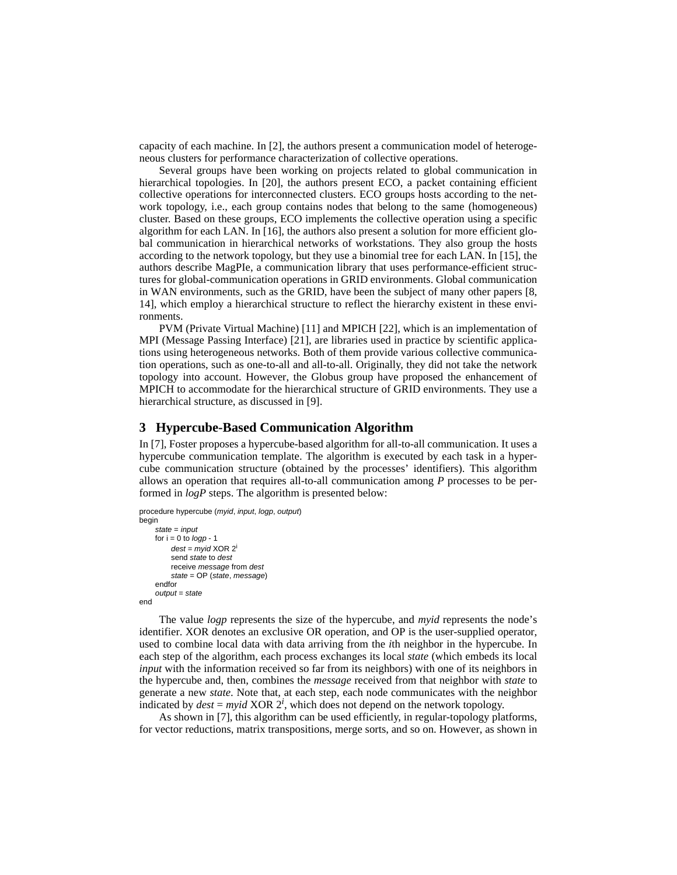capacity of each machine. In [2], the authors present a communication model of heterogeneous clusters for performance characterization of collective operations.

Several groups have been working on projects related to global communication in hierarchical topologies. In [20], the authors present ECO, a packet containing efficient collective operations for interconnected clusters. ECO groups hosts according to the network topology, i.e., each group contains nodes that belong to the same (homogeneous) cluster. Based on these groups, ECO implements the collective operation using a specific algorithm for each LAN. In [16], the authors also present a solution for more efficient global communication in hierarchical networks of workstations. They also group the hosts according to the network topology, but they use a binomial tree for each LAN. In [15], the authors describe MagPIe, a communication library that uses performance-efficient structures for global-communication operations in GRID environments. Global communication in WAN environments, such as the GRID, have been the subject of many other papers [8, 14], which employ a hierarchical structure to reflect the hierarchy existent in these environments.

PVM (Private Virtual Machine) [11] and MPICH [22], which is an implementation of MPI (Message Passing Interface) [21], are libraries used in practice by scientific applications using heterogeneous networks. Both of them provide various collective communication operations, such as one-to-all and all-to-all. Originally, they did not take the network topology into account. However, the Globus group have proposed the enhancement of MPICH to accommodate for the hierarchical structure of GRID environments. They use a hierarchical structure, as discussed in [9].

#### **3 Hypercube-Based Communication Algorithm**

In [7], Foster proposes a hypercube-based algorithm for all-to-all communication. It uses a hypercube communication template. The algorithm is executed by each task in a hypercube communication structure (obtained by the processes' identifiers). This algorithm allows an operation that requires all-to-all communication among *P* processes to be performed in *logP* steps. The algorithm is presented below:

```
procedure hypercube (myid, input, logp, output)
begin
    state = input
    for i = 0 to logp - 1
        dest = myid XOR 2i
         send state to dest
         receive message from dest
         state = OP (state, message)
    endfor
    output = state
end
```
The value *logp* represents the size of the hypercube, and *myid* represents the node's identifier. XOR denotes an exclusive OR operation, and OP is the user-supplied operator, used to combine local data with data arriving from the *i*th neighbor in the hypercube. In each step of the algorithm, each process exchanges its local *state* (which embeds its local *input* with the information received so far from its neighbors) with one of its neighbors in the hypercube and, then, combines the *message* received from that neighbor with *state* to generate a new *state*. Note that, at each step, each node communicates with the neighbor indicated by  $dest = myid XOR 2^i$ , which does not depend on the network topology.

As shown in [7], this algorithm can be used efficiently, in regular-topology platforms, for vector reductions, matrix transpositions, merge sorts, and so on. However, as shown in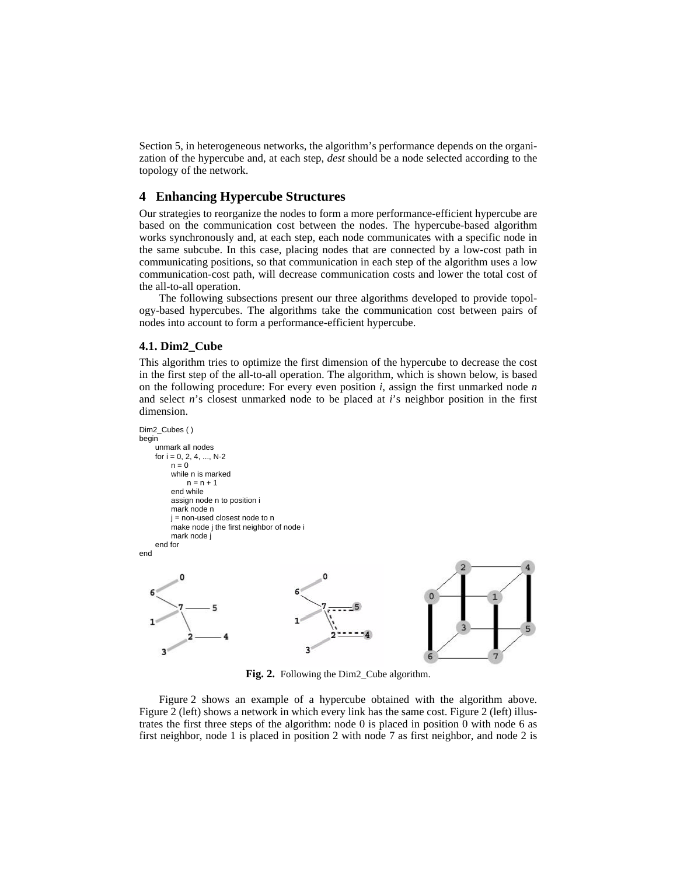Section 5, in heterogeneous networks, the algorithm's performance depends on the organization of the hypercube and, at each step, *dest* should be a node selected according to the topology of the network.

# **4 Enhancing Hypercube Structures**

Our strategies to reorganize the nodes to form a more performance-efficient hypercube are based on the communication cost between the nodes. The hypercube-based algorithm works synchronously and, at each step, each node communicates with a specific node in the same subcube. In this case, placing nodes that are connected by a low-cost path in communicating positions, so that communication in each step of the algorithm uses a low communication-cost path, will decrease communication costs and lower the total cost of the all-to-all operation.

The following subsections present our three algorithms developed to provide topology-based hypercubes. The algorithms take the communication cost between pairs of nodes into account to form a performance-efficient hypercube.

### **4.1. Dim2\_Cube**

This algorithm tries to optimize the first dimension of the hypercube to decrease the cost in the first step of the all-to-all operation. The algorithm, which is shown below, is based on the following procedure: For every even position *i*, assign the first unmarked node *n* and select *n*'s closest unmarked node to be placed at *i*'s neighbor position in the first dimension.



**Fig. 2.** Following the Dim2\_Cube algorithm.

Figure 2 shows an example of a hypercube obtained with the algorithm above. Figure 2 (left) shows a network in which every link has the same cost. Figure 2 (left) illustrates the first three steps of the algorithm: node 0 is placed in position 0 with node 6 as first neighbor, node 1 is placed in position 2 with node 7 as first neighbor, and node 2 is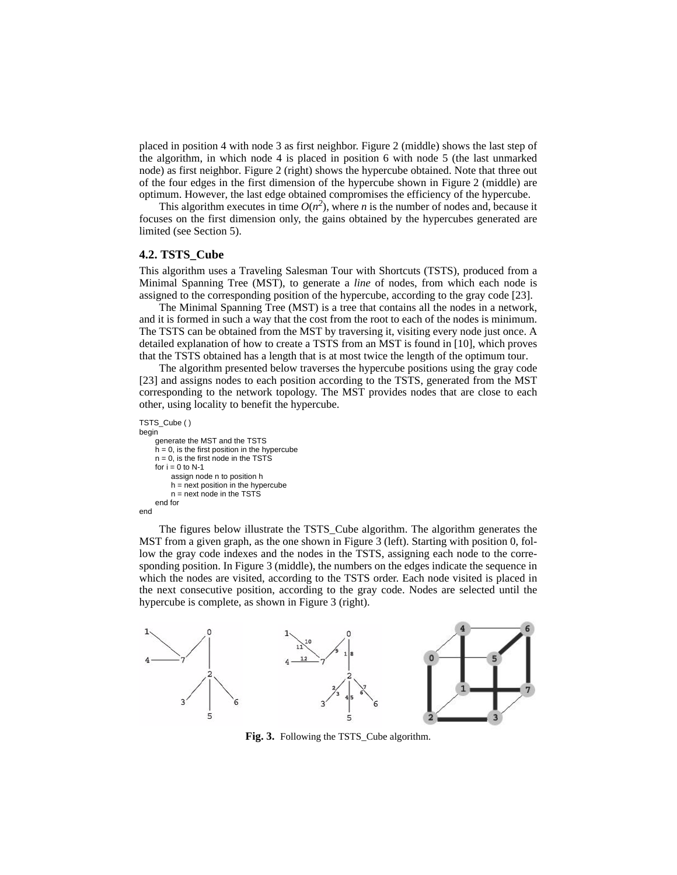placed in position 4 with node 3 as first neighbor. Figure 2 (middle) shows the last step of the algorithm, in which node 4 is placed in position 6 with node 5 (the last unmarked node) as first neighbor. Figure 2 (right) shows the hypercube obtained. Note that three out of the four edges in the first dimension of the hypercube shown in Figure 2 (middle) are optimum. However, the last edge obtained compromises the efficiency of the hypercube.

This algorithm executes in time  $O(n^2)$ , where *n* is the number of nodes and, because it focuses on the first dimension only, the gains obtained by the hypercubes generated are limited (see Section 5).

#### **4.2. TSTS\_Cube**

This algorithm uses a Traveling Salesman Tour with Shortcuts (TSTS), produced from a Minimal Spanning Tree (MST), to generate a *line* of nodes, from which each node is assigned to the corresponding position of the hypercube, according to the gray code [23].

The Minimal Spanning Tree (MST) is a tree that contains all the nodes in a network, and it is formed in such a way that the cost from the root to each of the nodes is minimum. The TSTS can be obtained from the MST by traversing it, visiting every node just once. A detailed explanation of how to create a TSTS from an MST is found in [10], which proves that the TSTS obtained has a length that is at most twice the length of the optimum tour.

The algorithm presented below traverses the hypercube positions using the gray code [23] and assigns nodes to each position according to the TSTS, generated from the MST corresponding to the network topology. The MST provides nodes that are close to each other, using locality to benefit the hypercube.

```
TSTS_Cube ( )
begin
    generate the MST and the TSTS
    h = 0, is the first position in the hypercube
    n = 0, is the first node in the TSTS
    for i = 0 to N-1
         assign node n to position h
         h = next position in the hypercube
         n = next node in the TSTS
     end for
end
```
The figures below illustrate the TSTS\_Cube algorithm. The algorithm generates the MST from a given graph, as the one shown in Figure 3 (left). Starting with position 0, follow the gray code indexes and the nodes in the TSTS, assigning each node to the corresponding position. In Figure 3 (middle), the numbers on the edges indicate the sequence in which the nodes are visited, according to the TSTS order. Each node visited is placed in the next consecutive position, according to the gray code. Nodes are selected until the hypercube is complete, as shown in Figure 3 (right).



**Fig. 3.** Following the TSTS\_Cube algorithm.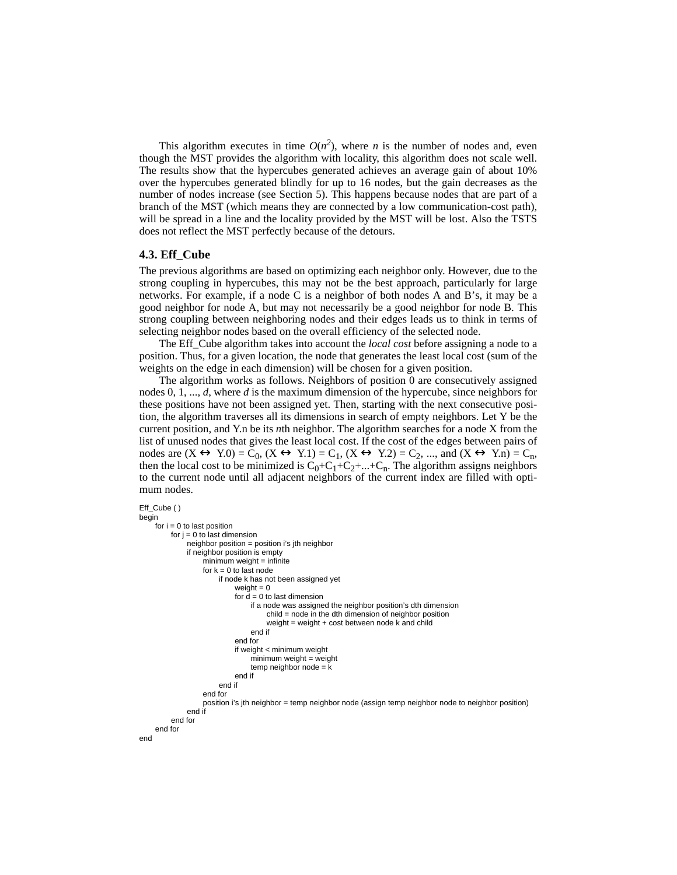This algorithm executes in time  $O(n^2)$ , where *n* is the number of nodes and, even though the MST provides the algorithm with locality, this algorithm does not scale well. The results show that the hypercubes generated achieves an average gain of about 10% over the hypercubes generated blindly for up to 16 nodes, but the gain decreases as the number of nodes increase (see Section 5). This happens because nodes that are part of a branch of the MST (which means they are connected by a low communication-cost path), will be spread in a line and the locality provided by the MST will be lost. Also the TSTS does not reflect the MST perfectly because of the detours.

#### **4.3. Eff\_Cube**

The previous algorithms are based on optimizing each neighbor only. However, due to the strong coupling in hypercubes, this may not be the best approach, particularly for large networks. For example, if a node C is a neighbor of both nodes A and B's, it may be a good neighbor for node A, but may not necessarily be a good neighbor for node B. This strong coupling between neighboring nodes and their edges leads us to think in terms of selecting neighbor nodes based on the overall efficiency of the selected node.

The Eff\_Cube algorithm takes into account the *local cost* before assigning a node to a position. Thus, for a given location, the node that generates the least local cost (sum of the weights on the edge in each dimension) will be chosen for a given position.

The algorithm works as follows. Neighbors of position 0 are consecutively assigned nodes 0, 1, ..., *d*, where *d* is the maximum dimension of the hypercube, since neighbors for these positions have not been assigned yet. Then, starting with the next consecutive position, the algorithm traverses all its dimensions in search of empty neighbors. Let Y be the current position, and Y.n be its *n*th neighbor. The algorithm searches for a node X from the list of unused nodes that gives the least local cost. If the cost of the edges between pairs of nodes are  $(X \leftrightarrow Y.0) = C_0$ ,  $(X \leftrightarrow Y.1) = C_1$ ,  $(X \leftrightarrow Y.2) = C_2$ , ..., and  $(X \leftrightarrow Y.1) = C_n$ , then the local cost to be minimized is  $C_0 + C_1 + C_2 + ... + C_n$ . The algorithm assigns neighbors to the current node until all adjacent neighbors of the current index are filled with optimum nodes.

```
Eff_Cube ( )
begin
    for i = 0 to last position
         for j = 0 to last dimension
              neighbor position = position i's jth neighbor
              if neighbor position is empty
                   minimum weight = infinite
                   for k = 0 to last node
                       if node k has not been assigned yet
                            weight = 0for d = 0 to last dimension
                                 if a node was assigned the neighbor position's dth dimension
                                      child = node in the dth dimension of neighbor position
                                      weight = weight + cost between node k and child
                                 end if
                            end for
                            if weight < minimum weight
                                 minimum weight = weight
                                 temp neighbor node = k
                            end if
                        end if
                   end for
                   position i's jth neighbor = temp neighbor node (assign temp neighbor node to neighbor position)
              end if
         end for
    end for
end
```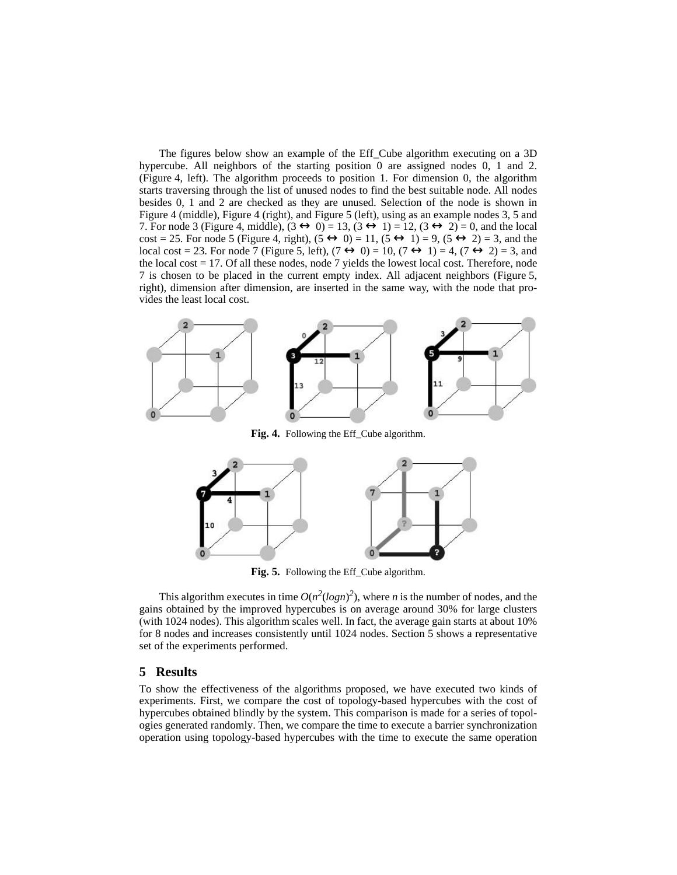The figures below show an example of the Eff\_Cube algorithm executing on a 3D hypercube. All neighbors of the starting position 0 are assigned nodes 0, 1 and 2. (Figure 4, left). The algorithm proceeds to position 1. For dimension 0, the algorithm starts traversing through the list of unused nodes to find the best suitable node. All nodes besides 0, 1 and 2 are checked as they are unused. Selection of the node is shown in Figure 4 (middle), Figure 4 (right), and Figure 5 (left), using as an example nodes 3, 5 and 7. For node 3 (Figure 4, middle),  $(3 \leftrightarrow 0) = 13$ ,  $(3 \leftrightarrow 1) = 12$ ,  $(3 \leftrightarrow 2) = 0$ , and the local cost = 25. For node 5 (Figure 4, right),  $(5 \leftrightarrow 0) = 11$ ,  $(5 \leftrightarrow 1) = 9$ ,  $(5 \leftrightarrow 2) = 3$ , and the local cost = 23. For node 7 (Figure 5, left),  $(7 \leftrightarrow 0) = 10$ ,  $(7 \leftrightarrow 1) = 4$ ,  $(7 \leftrightarrow 2) = 3$ , and the local cost = 17. Of all these nodes, node 7 yields the lowest local cost. Therefore, node 7 is chosen to be placed in the current empty index. All adjacent neighbors (Figure 5, right), dimension after dimension, are inserted in the same way, with the node that provides the least local cost.



**Fig. 4.** Following the Eff\_Cube algorithm.



**Fig. 5.** Following the Eff\_Cube algorithm.

This algorithm executes in time  $O(n^2(log n)^2)$ , where *n* is the number of nodes, and the gains obtained by the improved hypercubes is on average around 30% for large clusters (with 1024 nodes). This algorithm scales well. In fact, the average gain starts at about 10% for 8 nodes and increases consistently until 1024 nodes. Section 5 shows a representative set of the experiments performed.

#### **5 Results**

To show the effectiveness of the algorithms proposed, we have executed two kinds of experiments. First, we compare the cost of topology-based hypercubes with the cost of hypercubes obtained blindly by the system. This comparison is made for a series of topologies generated randomly. Then, we compare the time to execute a barrier synchronization operation using topology-based hypercubes with the time to execute the same operation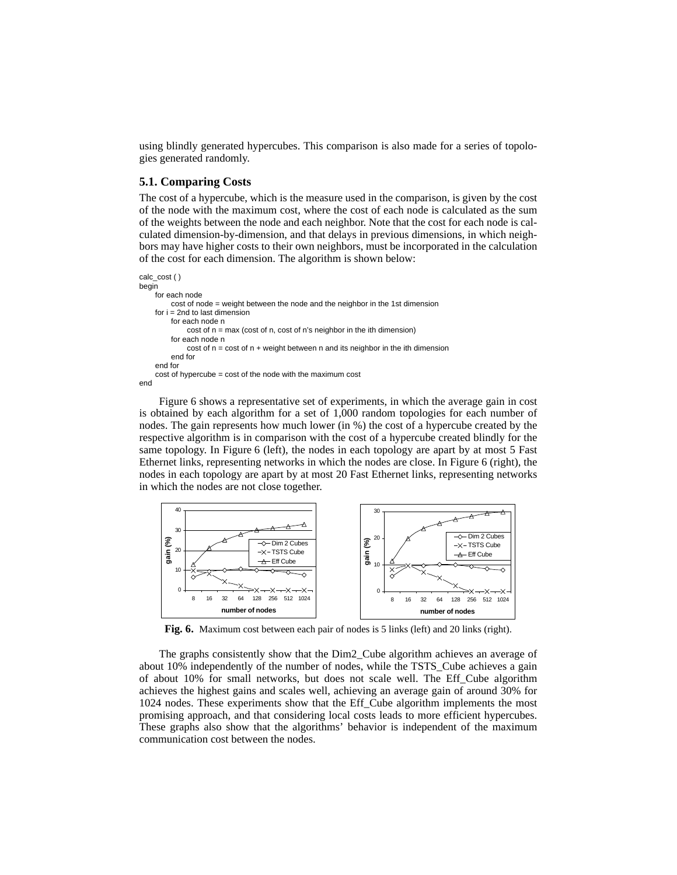using blindly generated hypercubes. This comparison is also made for a series of topologies generated randomly.

#### **5.1. Comparing Costs**

The cost of a hypercube, which is the measure used in the comparison, is given by the cost of the node with the maximum cost, where the cost of each node is calculated as the sum of the weights between the node and each neighbor. Note that the cost for each node is calculated dimension-by-dimension, and that delays in previous dimensions, in which neighbors may have higher costs to their own neighbors, must be incorporated in the calculation of the cost for each dimension. The algorithm is shown below:

```
calc_cost ( )
begin
    for each node
         cost of node = weight between the node and the neighbor in the 1st dimension
    for i = 2nd to last dimension
         for each node n
              cost of n = max (cost of n, cost of n's neighbor in the ith dimension)
         for each node n
              cost of n = \text{cost of } n + \text{weight between } n and its neighbor in the ith dimension
         end for
     end for
     cost of hypercube = cost of the node with the maximum cost
end
```
Figure 6 shows a representative set of experiments, in which the average gain in cost is obtained by each algorithm for a set of 1,000 random topologies for each number of nodes. The gain represents how much lower (in %) the cost of a hypercube created by the respective algorithm is in comparison with the cost of a hypercube created blindly for the same topology. In Figure 6 (left), the nodes in each topology are apart by at most 5 Fast Ethernet links, representing networks in which the nodes are close. In Figure 6 (right), the nodes in each topology are apart by at most 20 Fast Ethernet links, representing networks in which the nodes are not close together.



**Fig. 6.** Maximum cost between each pair of nodes is 5 links (left) and 20 links (right).

The graphs consistently show that the Dim2\_Cube algorithm achieves an average of about 10% independently of the number of nodes, while the TSTS\_Cube achieves a gain of about 10% for small networks, but does not scale well. The Eff\_Cube algorithm achieves the highest gains and scales well, achieving an average gain of around 30% for 1024 nodes. These experiments show that the Eff\_Cube algorithm implements the most promising approach, and that considering local costs leads to more efficient hypercubes. These graphs also show that the algorithms' behavior is independent of the maximum communication cost between the nodes.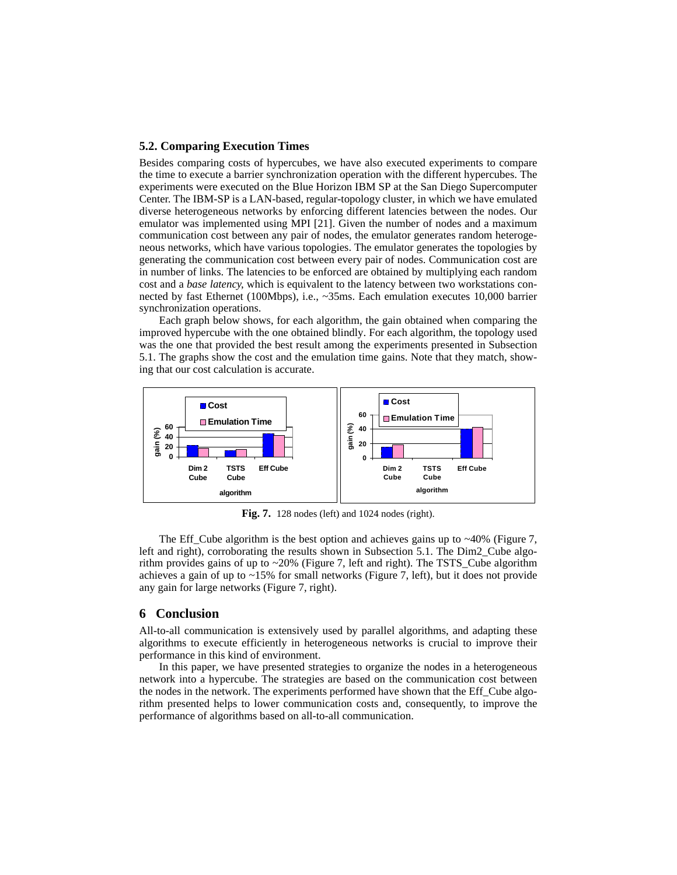#### **5.2. Comparing Execution Times**

Besides comparing costs of hypercubes, we have also executed experiments to compare the time to execute a barrier synchronization operation with the different hypercubes. The experiments were executed on the Blue Horizon IBM SP at the San Diego Supercomputer Center. The IBM-SP is a LAN-based, regular-topology cluster, in which we have emulated diverse heterogeneous networks by enforcing different latencies between the nodes. Our emulator was implemented using MPI [21]. Given the number of nodes and a maximum communication cost between any pair of nodes, the emulator generates random heterogeneous networks, which have various topologies. The emulator generates the topologies by generating the communication cost between every pair of nodes. Communication cost are in number of links. The latencies to be enforced are obtained by multiplying each random cost and a *base latency*, which is equivalent to the latency between two workstations connected by fast Ethernet (100Mbps), i.e., ~35ms. Each emulation executes 10,000 barrier synchronization operations.

Each graph below shows, for each algorithm, the gain obtained when comparing the improved hypercube with the one obtained blindly. For each algorithm, the topology used was the one that provided the best result among the experiments presented in Subsection 5.1. The graphs show the cost and the emulation time gains. Note that they match, showing that our cost calculation is accurate.



**Fig. 7.** 128 nodes (left) and 1024 nodes (right).

The Eff. Cube algorithm is the best option and achieves gains up to  $~40\%$  (Figure 7, left and right), corroborating the results shown in Subsection 5.1. The Dim2\_Cube algorithm provides gains of up to  $\sim$  20% (Figure 7, left and right). The TSTS\_Cube algorithm achieves a gain of up to  $\sim$  15% for small networks (Figure 7, left), but it does not provide any gain for large networks (Figure 7, right).

### **6 Conclusion**

All-to-all communication is extensively used by parallel algorithms, and adapting these algorithms to execute efficiently in heterogeneous networks is crucial to improve their performance in this kind of environment.

In this paper, we have presented strategies to organize the nodes in a heterogeneous network into a hypercube. The strategies are based on the communication cost between the nodes in the network. The experiments performed have shown that the Eff\_Cube algorithm presented helps to lower communication costs and, consequently, to improve the performance of algorithms based on all-to-all communication.